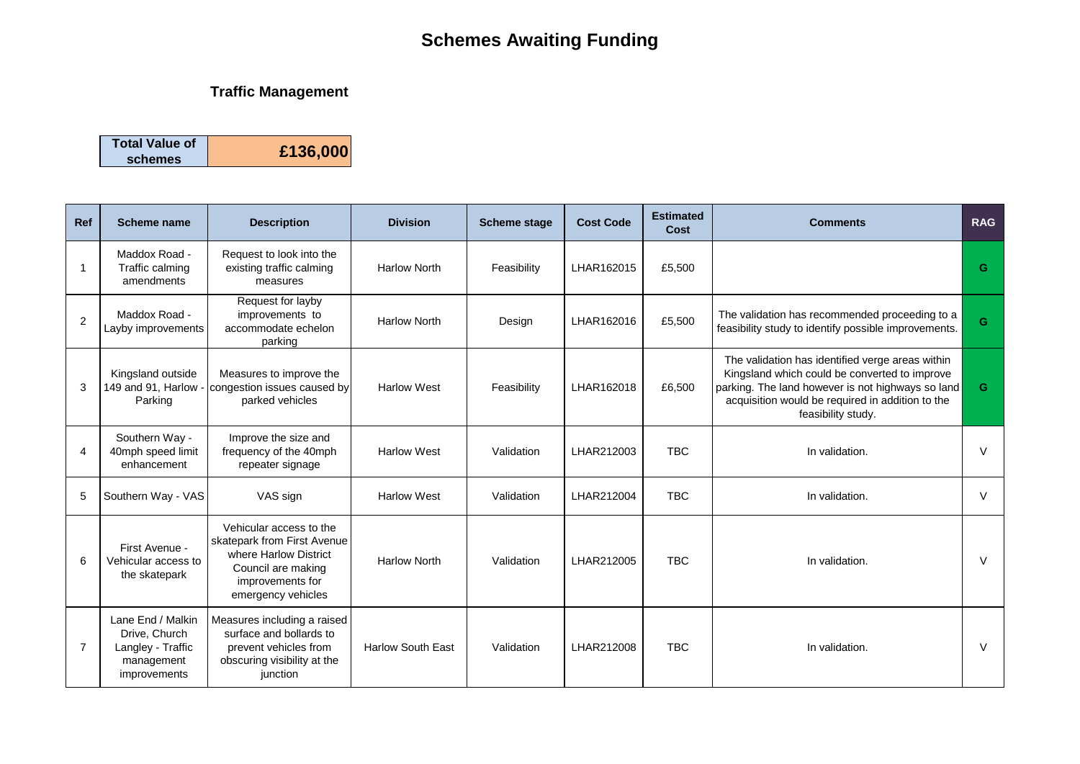# **Schemes Awaiting Funding**

#### **Traffic Management**

| <b>Total Value of</b> |          |
|-----------------------|----------|
| schemes               | £136,000 |

| Ref | Scheme name                                                                           | <b>Description</b>                                                                                                                              | <b>Division</b>          | <b>Scheme stage</b> | <b>Cost Code</b> | <b>Estimated</b><br>Cost | <b>Comments</b>                                                                                                                                                                                                                  | <b>RAG</b> |
|-----|---------------------------------------------------------------------------------------|-------------------------------------------------------------------------------------------------------------------------------------------------|--------------------------|---------------------|------------------|--------------------------|----------------------------------------------------------------------------------------------------------------------------------------------------------------------------------------------------------------------------------|------------|
|     | Maddox Road -<br>Traffic calming<br>amendments                                        | Request to look into the<br>existing traffic calming<br>measures                                                                                | <b>Harlow North</b>      | Feasibility         | LHAR162015       | £5,500                   |                                                                                                                                                                                                                                  | G          |
| 2   | Maddox Road -<br>Layby improvements                                                   | Request for layby<br>improvements to<br>accommodate echelon<br>parking                                                                          | <b>Harlow North</b>      | Design              | LHAR162016       | £5,500                   | The validation has recommended proceeding to a<br>feasibility study to identify possible improvements.                                                                                                                           | G          |
| 3   | Kingsland outside<br>149 and 91, Harlow<br>Parking                                    | Measures to improve the<br>congestion issues caused by<br>parked vehicles                                                                       | <b>Harlow West</b>       | Feasibility         | LHAR162018       | £6,500                   | The validation has identified verge areas within<br>Kingsland which could be converted to improve<br>parking. The land however is not highways so land<br>acquisition would be required in addition to the<br>feasibility study. | G.         |
|     | Southern Way -<br>40mph speed limit<br>enhancement                                    | Improve the size and<br>frequency of the 40mph<br>repeater signage                                                                              | <b>Harlow West</b>       | Validation          | LHAR212003       | <b>TBC</b>               | In validation.                                                                                                                                                                                                                   | $\vee$     |
| 5   | Southern Way - VAS                                                                    | VAS sign                                                                                                                                        | <b>Harlow West</b>       | Validation          | LHAR212004       | <b>TBC</b>               | In validation.                                                                                                                                                                                                                   | $\vee$     |
| 6   | First Avenue -<br>Vehicular access to<br>the skatepark                                | Vehicular access to the<br>skatepark from First Avenue<br>where Harlow District<br>Council are making<br>improvements for<br>emergency vehicles | <b>Harlow North</b>      | Validation          | LHAR212005       | <b>TBC</b>               | In validation.                                                                                                                                                                                                                   | $\vee$     |
| 7   | Lane End / Malkin<br>Drive, Church<br>Langley - Traffic<br>management<br>improvements | Measures including a raised<br>surface and bollards to<br>prevent vehicles from<br>obscuring visibility at the<br>junction                      | <b>Harlow South East</b> | Validation          | LHAR212008       | <b>TBC</b>               | In validation.                                                                                                                                                                                                                   | V          |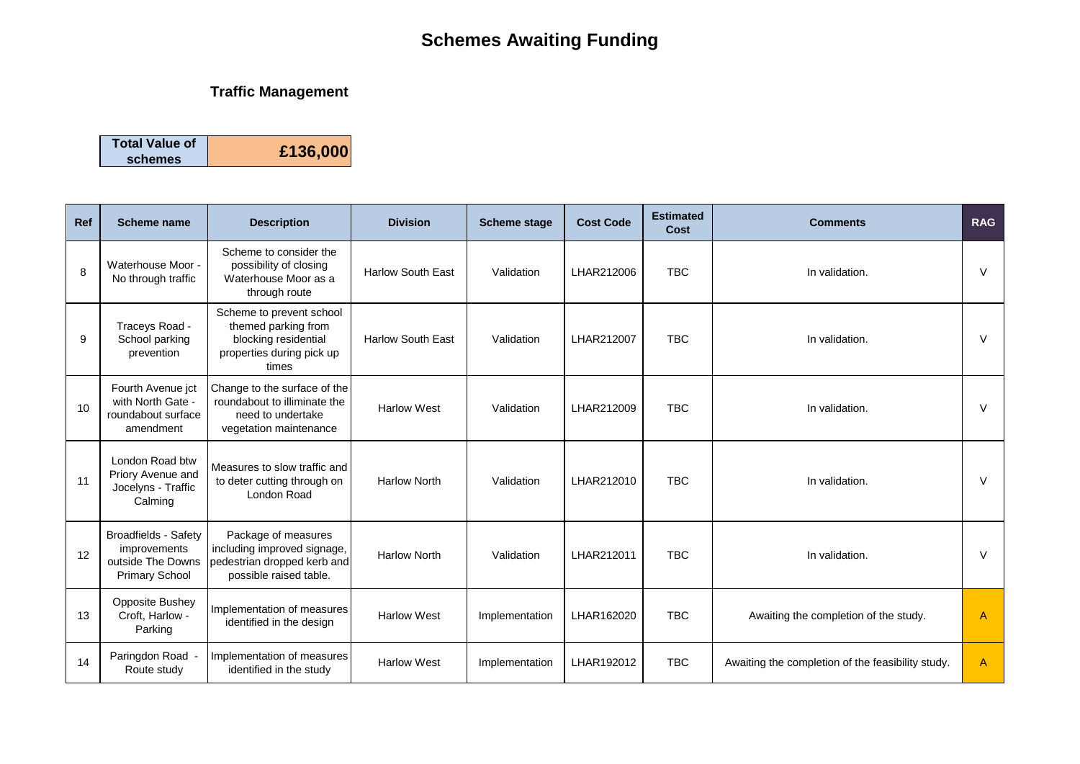# **Schemes Awaiting Funding**

### **Traffic Management**

| <b>Total Value of</b> |          |
|-----------------------|----------|
| schemes               | £136,000 |

| Ref | Scheme name                                                                               | <b>Description</b>                                                                                            | <b>Division</b>          | <b>Scheme stage</b> | <b>Cost Code</b> | <b>Estimated</b><br>Cost | <b>Comments</b>                                   | <b>RAG</b> |
|-----|-------------------------------------------------------------------------------------------|---------------------------------------------------------------------------------------------------------------|--------------------------|---------------------|------------------|--------------------------|---------------------------------------------------|------------|
| 8   | Waterhouse Moor -<br>No through traffic                                                   | Scheme to consider the<br>possibility of closing<br>Waterhouse Moor as a<br>through route                     | <b>Harlow South East</b> | Validation          | LHAR212006       | <b>TBC</b>               | In validation.                                    | V          |
| 9   | Traceys Road -<br>School parking<br>prevention                                            | Scheme to prevent school<br>themed parking from<br>blocking residential<br>properties during pick up<br>times | <b>Harlow South East</b> | Validation          | LHAR212007       | <b>TBC</b>               | In validation.                                    | $\vee$     |
| 10  | Fourth Avenue jct<br>with North Gate -<br>roundabout surface<br>amendment                 | Change to the surface of the<br>roundabout to illiminate the<br>need to undertake<br>vegetation maintenance   | <b>Harlow West</b>       | Validation          | LHAR212009       | <b>TBC</b>               | In validation.                                    | $\vee$     |
| 11  | London Road btw<br>Priory Avenue and<br>Jocelyns - Traffic<br>Calming                     | Measures to slow traffic and<br>to deter cutting through on<br>London Road                                    | <b>Harlow North</b>      | Validation          | LHAR212010       | <b>TBC</b>               | In validation.                                    | V          |
| 12  | <b>Broadfields - Safety</b><br>improvements<br>outside The Downs<br><b>Primary School</b> | Package of measures<br>including improved signage,<br>pedestrian dropped kerb and<br>possible raised table.   | <b>Harlow North</b>      | Validation          | LHAR212011       | <b>TBC</b>               | In validation.                                    | $\vee$     |
| 13  | <b>Opposite Bushey</b><br>Croft. Harlow -<br>Parking                                      | Implementation of measures<br>identified in the design                                                        | <b>Harlow West</b>       | Implementation      | LHAR162020       | <b>TBC</b>               | Awaiting the completion of the study.             | A          |
| 14  | Paringdon Road -<br>Route study                                                           | Implementation of measures<br>identified in the study                                                         | <b>Harlow West</b>       | Implementation      | LHAR192012       | <b>TBC</b>               | Awaiting the completion of the feasibility study. | A          |